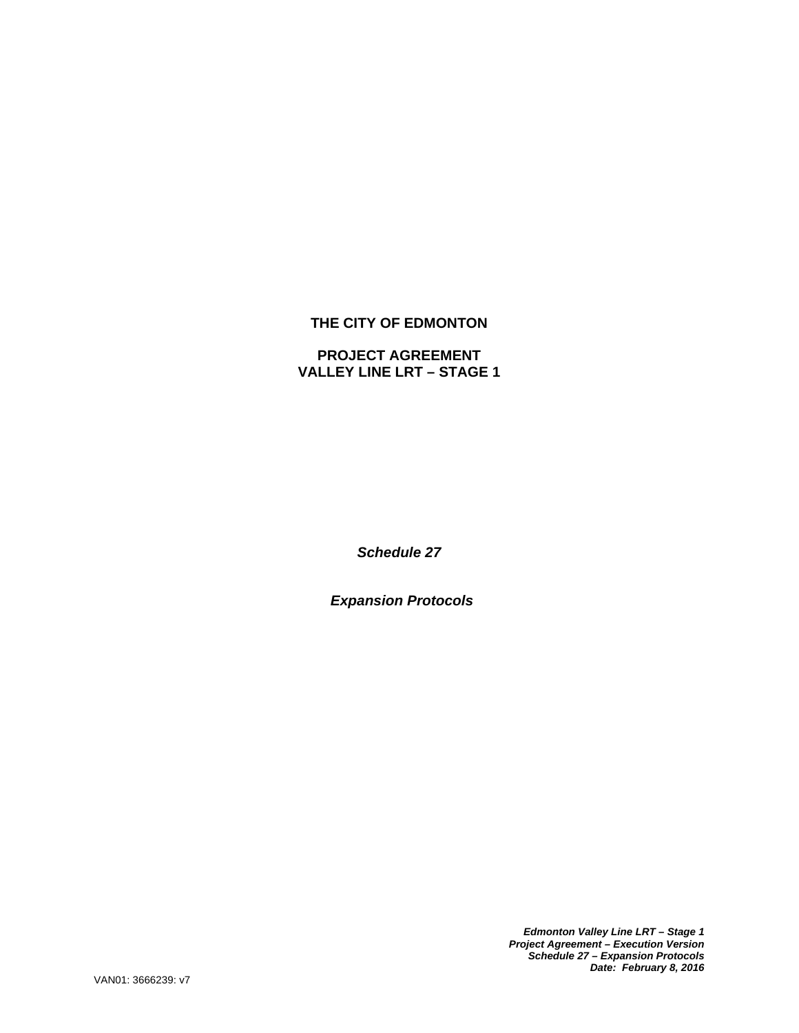# **THE CITY OF EDMONTON**

## **PROJECT AGREEMENT VALLEY LINE LRT – STAGE 1**

*Schedule 27* 

*Expansion Protocols* 

*Edmonton Valley Line LRT – Stage 1 Project Agreement – Execution Version Schedule 27 – Expansion Protocols Date: February 8, 2016*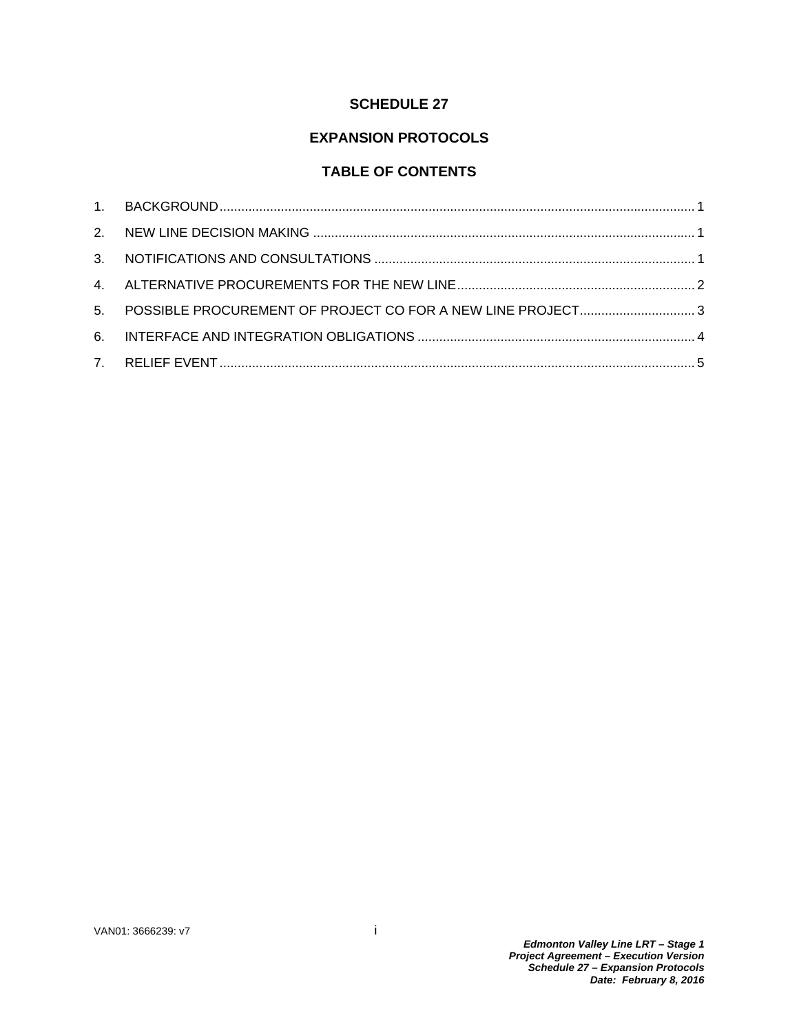# **SCHEDULE 27**

# **EXPANSION PROTOCOLS**

# **TABLE OF CONTENTS**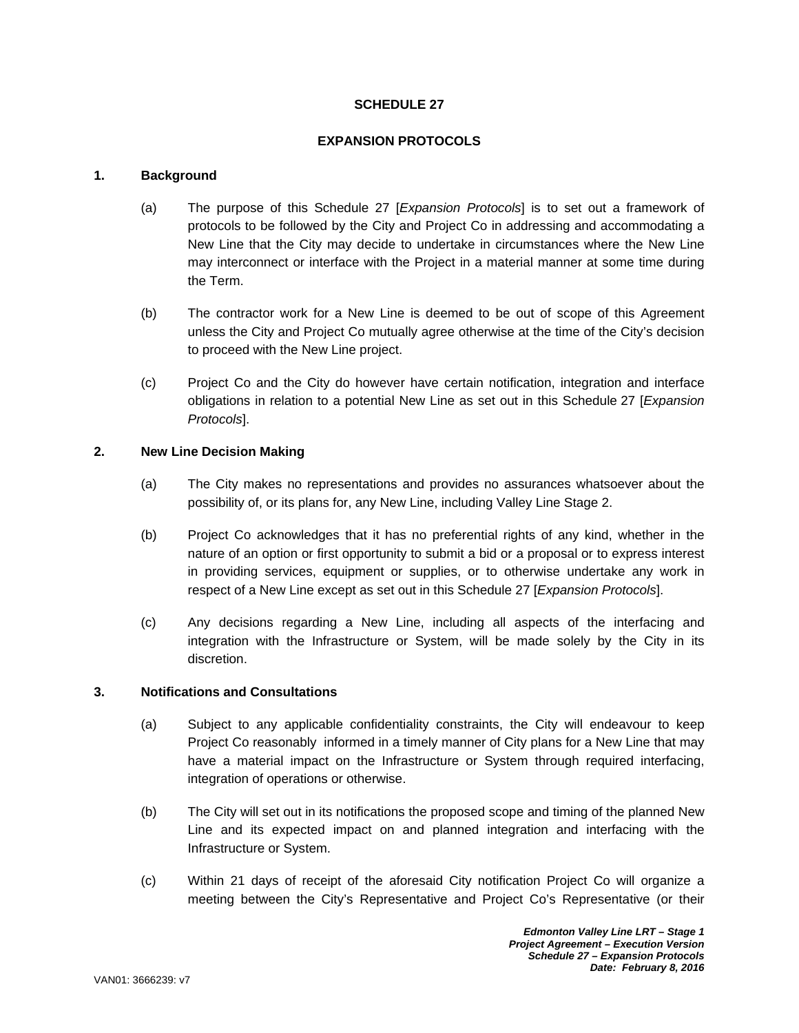### **SCHEDULE 27**

### **EXPANSION PROTOCOLS**

### **1. Background**

- (a) The purpose of this Schedule 27 [*Expansion Protocols*] is to set out a framework of protocols to be followed by the City and Project Co in addressing and accommodating a New Line that the City may decide to undertake in circumstances where the New Line may interconnect or interface with the Project in a material manner at some time during the Term.
- (b) The contractor work for a New Line is deemed to be out of scope of this Agreement unless the City and Project Co mutually agree otherwise at the time of the City's decision to proceed with the New Line project.
- (c) Project Co and the City do however have certain notification, integration and interface obligations in relation to a potential New Line as set out in this Schedule 27 [*Expansion Protocols*].

### **2. New Line Decision Making**

- (a) The City makes no representations and provides no assurances whatsoever about the possibility of, or its plans for, any New Line, including Valley Line Stage 2.
- (b) Project Co acknowledges that it has no preferential rights of any kind, whether in the nature of an option or first opportunity to submit a bid or a proposal or to express interest in providing services, equipment or supplies, or to otherwise undertake any work in respect of a New Line except as set out in this Schedule 27 [*Expansion Protocols*].
- (c) Any decisions regarding a New Line, including all aspects of the interfacing and integration with the Infrastructure or System, will be made solely by the City in its discretion.

#### **3. Notifications and Consultations**

- (a) Subject to any applicable confidentiality constraints, the City will endeavour to keep Project Co reasonably informed in a timely manner of City plans for a New Line that may have a material impact on the Infrastructure or System through required interfacing, integration of operations or otherwise.
- (b) The City will set out in its notifications the proposed scope and timing of the planned New Line and its expected impact on and planned integration and interfacing with the Infrastructure or System.
- (c) Within 21 days of receipt of the aforesaid City notification Project Co will organize a meeting between the City's Representative and Project Co's Representative (or their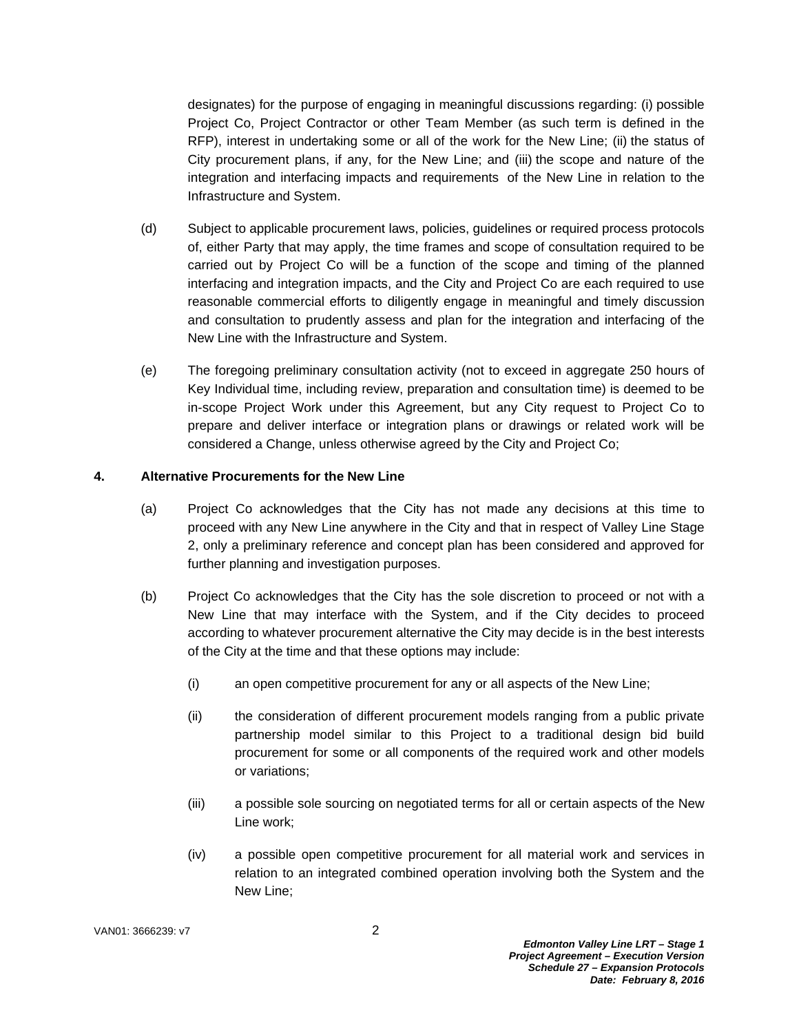designates) for the purpose of engaging in meaningful discussions regarding: (i) possible Project Co, Project Contractor or other Team Member (as such term is defined in the RFP), interest in undertaking some or all of the work for the New Line; (ii) the status of City procurement plans, if any, for the New Line; and (iii) the scope and nature of the integration and interfacing impacts and requirements of the New Line in relation to the Infrastructure and System.

- (d) Subject to applicable procurement laws, policies, guidelines or required process protocols of, either Party that may apply, the time frames and scope of consultation required to be carried out by Project Co will be a function of the scope and timing of the planned interfacing and integration impacts, and the City and Project Co are each required to use reasonable commercial efforts to diligently engage in meaningful and timely discussion and consultation to prudently assess and plan for the integration and interfacing of the New Line with the Infrastructure and System.
- (e) The foregoing preliminary consultation activity (not to exceed in aggregate 250 hours of Key Individual time, including review, preparation and consultation time) is deemed to be in-scope Project Work under this Agreement, but any City request to Project Co to prepare and deliver interface or integration plans or drawings or related work will be considered a Change, unless otherwise agreed by the City and Project Co;

### **4. Alternative Procurements for the New Line**

- (a) Project Co acknowledges that the City has not made any decisions at this time to proceed with any New Line anywhere in the City and that in respect of Valley Line Stage 2, only a preliminary reference and concept plan has been considered and approved for further planning and investigation purposes.
- (b) Project Co acknowledges that the City has the sole discretion to proceed or not with a New Line that may interface with the System, and if the City decides to proceed according to whatever procurement alternative the City may decide is in the best interests of the City at the time and that these options may include:
	- (i) an open competitive procurement for any or all aspects of the New Line;
	- (ii) the consideration of different procurement models ranging from a public private partnership model similar to this Project to a traditional design bid build procurement for some or all components of the required work and other models or variations;
	- (iii) a possible sole sourcing on negotiated terms for all or certain aspects of the New Line work;
	- (iv) a possible open competitive procurement for all material work and services in relation to an integrated combined operation involving both the System and the New Line;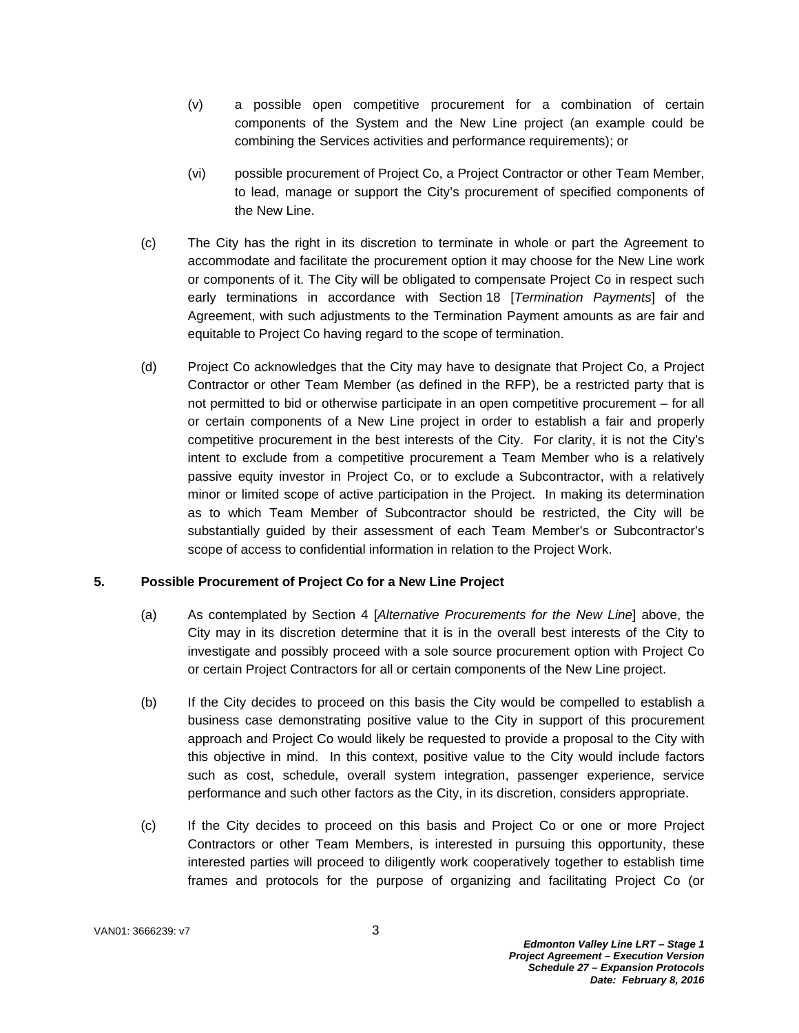- (v) a possible open competitive procurement for a combination of certain components of the System and the New Line project (an example could be combining the Services activities and performance requirements); or
- (vi) possible procurement of Project Co, a Project Contractor or other Team Member, to lead, manage or support the City's procurement of specified components of the New Line.
- (c) The City has the right in its discretion to terminate in whole or part the Agreement to accommodate and facilitate the procurement option it may choose for the New Line work or components of it. The City will be obligated to compensate Project Co in respect such early terminations in accordance with Section 18 [*Termination Payments*] of the Agreement, with such adjustments to the Termination Payment amounts as are fair and equitable to Project Co having regard to the scope of termination.
- (d) Project Co acknowledges that the City may have to designate that Project Co, a Project Contractor or other Team Member (as defined in the RFP), be a restricted party that is not permitted to bid or otherwise participate in an open competitive procurement – for all or certain components of a New Line project in order to establish a fair and properly competitive procurement in the best interests of the City. For clarity, it is not the City's intent to exclude from a competitive procurement a Team Member who is a relatively passive equity investor in Project Co, or to exclude a Subcontractor, with a relatively minor or limited scope of active participation in the Project. In making its determination as to which Team Member of Subcontractor should be restricted, the City will be substantially guided by their assessment of each Team Member's or Subcontractor's scope of access to confidential information in relation to the Project Work.

### **5. Possible Procurement of Project Co for a New Line Project**

- (a) As contemplated by Section 4 [*Alternative Procurements for the New Line*] above, the City may in its discretion determine that it is in the overall best interests of the City to investigate and possibly proceed with a sole source procurement option with Project Co or certain Project Contractors for all or certain components of the New Line project.
- (b) If the City decides to proceed on this basis the City would be compelled to establish a business case demonstrating positive value to the City in support of this procurement approach and Project Co would likely be requested to provide a proposal to the City with this objective in mind. In this context, positive value to the City would include factors such as cost, schedule, overall system integration, passenger experience, service performance and such other factors as the City, in its discretion, considers appropriate.
- (c) If the City decides to proceed on this basis and Project Co or one or more Project Contractors or other Team Members, is interested in pursuing this opportunity, these interested parties will proceed to diligently work cooperatively together to establish time frames and protocols for the purpose of organizing and facilitating Project Co (or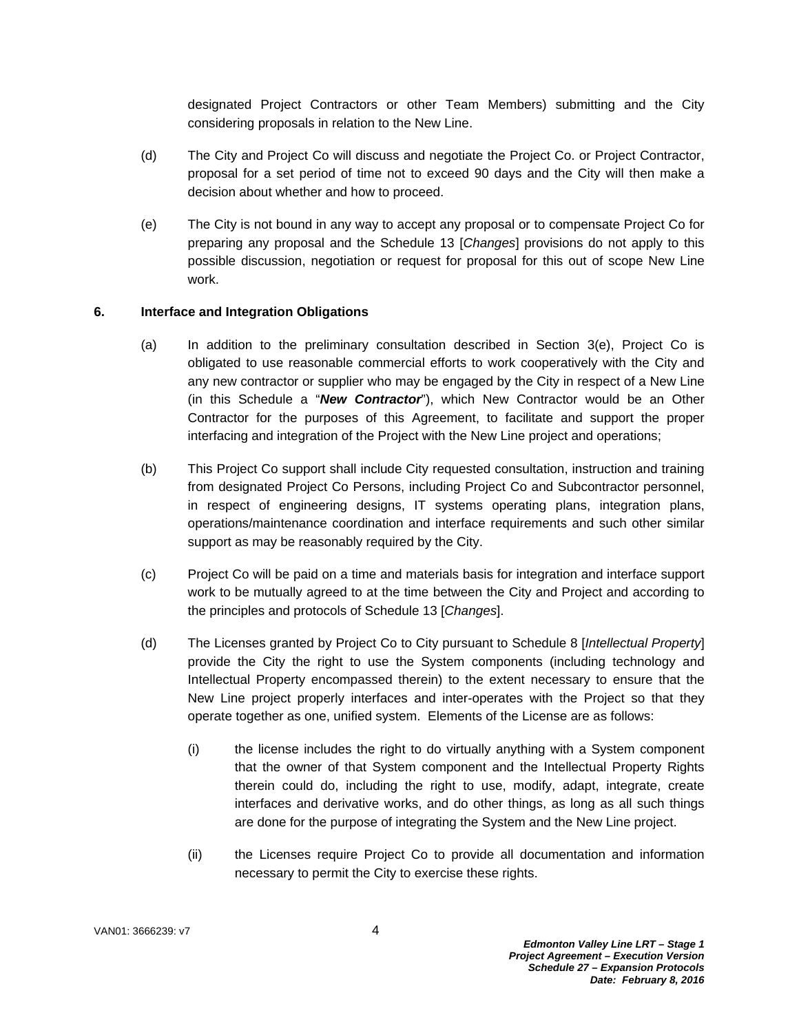designated Project Contractors or other Team Members) submitting and the City considering proposals in relation to the New Line.

- (d) The City and Project Co will discuss and negotiate the Project Co. or Project Contractor, proposal for a set period of time not to exceed 90 days and the City will then make a decision about whether and how to proceed.
- (e) The City is not bound in any way to accept any proposal or to compensate Project Co for preparing any proposal and the Schedule 13 [*Changes*] provisions do not apply to this possible discussion, negotiation or request for proposal for this out of scope New Line work.

#### **6. Interface and Integration Obligations**

- (a) In addition to the preliminary consultation described in Section 3(e), Project Co is obligated to use reasonable commercial efforts to work cooperatively with the City and any new contractor or supplier who may be engaged by the City in respect of a New Line (in this Schedule a "*New Contractor*"), which New Contractor would be an Other Contractor for the purposes of this Agreement, to facilitate and support the proper interfacing and integration of the Project with the New Line project and operations;
- (b) This Project Co support shall include City requested consultation, instruction and training from designated Project Co Persons, including Project Co and Subcontractor personnel, in respect of engineering designs, IT systems operating plans, integration plans, operations/maintenance coordination and interface requirements and such other similar support as may be reasonably required by the City.
- (c) Project Co will be paid on a time and materials basis for integration and interface support work to be mutually agreed to at the time between the City and Project and according to the principles and protocols of Schedule 13 [*Changes*].
- (d) The Licenses granted by Project Co to City pursuant to Schedule 8 [*Intellectual Property*] provide the City the right to use the System components (including technology and Intellectual Property encompassed therein) to the extent necessary to ensure that the New Line project properly interfaces and inter-operates with the Project so that they operate together as one, unified system. Elements of the License are as follows:
	- (i) the license includes the right to do virtually anything with a System component that the owner of that System component and the Intellectual Property Rights therein could do, including the right to use, modify, adapt, integrate, create interfaces and derivative works, and do other things, as long as all such things are done for the purpose of integrating the System and the New Line project.
	- (ii) the Licenses require Project Co to provide all documentation and information necessary to permit the City to exercise these rights.